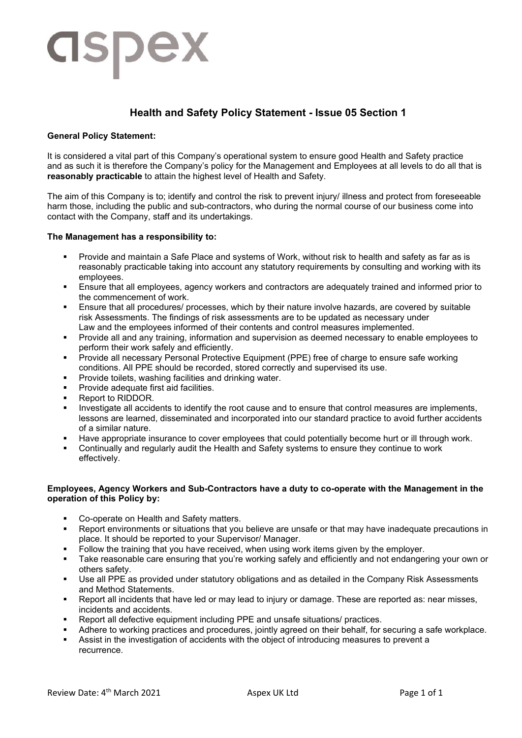# dspex

# **Health and Safety Policy Statement - Issue 05 Section 1**

## **General Policy Statement:**

It is considered a vital part of this Company's operational system to ensure good Health and Safety practice and as such it is therefore the Company's policy for the Management and Employees at all levels to do all that is **reasonably practicable** to attain the highest level of Health and Safety.

The aim of this Company is to; identify and control the risk to prevent injury/ illness and protect from foreseeable harm those, including the public and sub-contractors, who during the normal course of our business come into contact with the Company, staff and its undertakings.

## **The Management has a responsibility to:**

- Provide and maintain a Safe Place and systems of Work, without risk to health and safety as far as is reasonably practicable taking into account any statutory requirements by consulting and working with its employees.
- Ensure that all employees, agency workers and contractors are adequately trained and informed prior to the commencement of work.
- Ensure that all procedures/ processes, which by their nature involve hazards, are covered by suitable risk Assessments. The findings of risk assessments are to be updated as necessary under Law and the employees informed of their contents and control measures implemented.
- Provide all and any training, information and supervision as deemed necessary to enable employees to perform their work safely and efficiently.
- Provide all necessary Personal Protective Equipment (PPE) free of charge to ensure safe working conditions. All PPE should be recorded, stored correctly and supervised its use.
- **Provide toilets, washing facilities and drinking water.**
- Provide adequate first aid facilities.
- Report to RIDDOR.
- Investigate all accidents to identify the root cause and to ensure that control measures are implements, lessons are learned, disseminated and incorporated into our standard practice to avoid further accidents of a similar nature.
- Have appropriate insurance to cover employees that could potentially become hurt or ill through work.
- Continually and regularly audit the Health and Safety systems to ensure they continue to work effectively.

## **Employees, Agency Workers and Sub-Contractors have a duty to co-operate with the Management in the operation of this Policy by:**

- Co-operate on Health and Safety matters.
- Report environments or situations that you believe are unsafe or that may have inadequate precautions in place. It should be reported to your Supervisor/ Manager.
- Follow the training that you have received, when using work items given by the employer.
- Take reasonable care ensuring that you're working safely and efficiently and not endangering your own or others safety.
- Use all PPE as provided under statutory obligations and as detailed in the Company Risk Assessments and Method Statements.
- Report all incidents that have led or may lead to injury or damage. These are reported as: near misses, incidents and accidents.
- Report all defective equipment including PPE and unsafe situations/ practices.
- Adhere to working practices and procedures, jointly agreed on their behalf, for securing a safe workplace.
- Assist in the investigation of accidents with the object of introducing measures to prevent a recurrence.